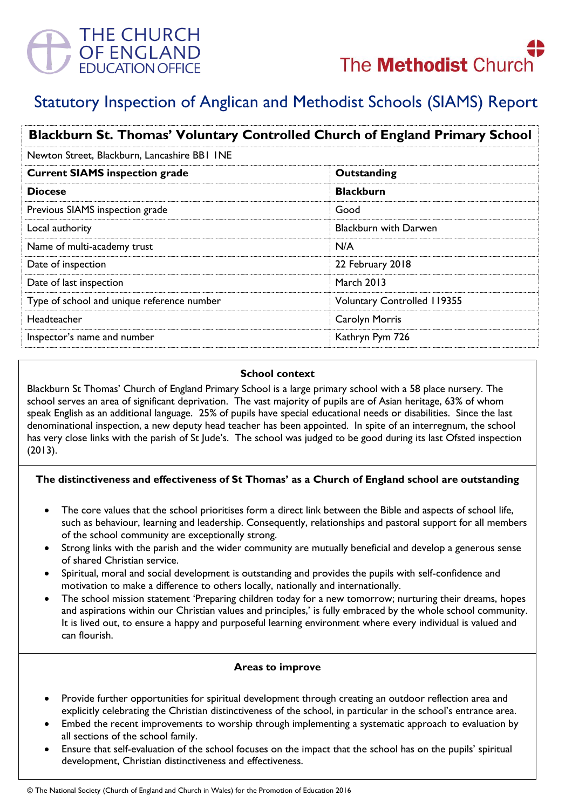

# Statutory Inspection of Anglican and Methodist Schools (SIAMS) Report

| Blackburn St. Thomas' Voluntary Controlled Church of England Primary School |                                    |
|-----------------------------------------------------------------------------|------------------------------------|
| Newton Street, Blackburn, Lancashire BB1 INE                                |                                    |
| <b>Current SIAMS inspection grade</b>                                       | Outstanding                        |
| <b>Diocese</b>                                                              | <b>Blackburn</b>                   |
| Previous SIAMS inspection grade                                             | Good                               |
| Local authority                                                             | <b>Blackburn with Darwen</b>       |
| Name of multi-academy trust                                                 | N/A                                |
| Date of inspection                                                          | 22 February 2018                   |
| Date of last inspection                                                     | <b>March 2013</b>                  |
| Type of school and unique reference number                                  | <b>Voluntary Controlled 119355</b> |
| Headteacher                                                                 | Carolyn Morris                     |
| Inspector's name and number                                                 | Kathryn Pym 726                    |

#### **School context**

Blackburn St Thomas' Church of England Primary School is a large primary school with a 58 place nursery. The school serves an area of significant deprivation. The vast majority of pupils are of Asian heritage, 63% of whom speak English as an additional language. 25% of pupils have special educational needs or disabilities. Since the last denominational inspection, a new deputy head teacher has been appointed. In spite of an interregnum, the school has very close links with the parish of St Jude's. The school was judged to be good during its last Ofsted inspection (2013).

# **The distinctiveness and effectiveness of St Thomas' as a Church of England school are outstanding**

- The core values that the school prioritises form a direct link between the Bible and aspects of school life, such as behaviour, learning and leadership. Consequently, relationships and pastoral support for all members of the school community are exceptionally strong.
- Strong links with the parish and the wider community are mutually beneficial and develop a generous sense of shared Christian service.
- Spiritual, moral and social development is outstanding and provides the pupils with self-confidence and motivation to make a difference to others locally, nationally and internationally.
- The school mission statement 'Preparing children today for a new tomorrow; nurturing their dreams, hopes and aspirations within our Christian values and principles,' is fully embraced by the whole school community. It is lived out, to ensure a happy and purposeful learning environment where every individual is valued and can flourish.

# **Areas to improve**

- Provide further opportunities for spiritual development through creating an outdoor reflection area and explicitly celebrating the Christian distinctiveness of the school, in particular in the school's entrance area.
- Embed the recent improvements to worship through implementing a systematic approach to evaluation by all sections of the school family.
- Ensure that self-evaluation of the school focuses on the impact that the school has on the pupils' spiritual development, Christian distinctiveness and effectiveness.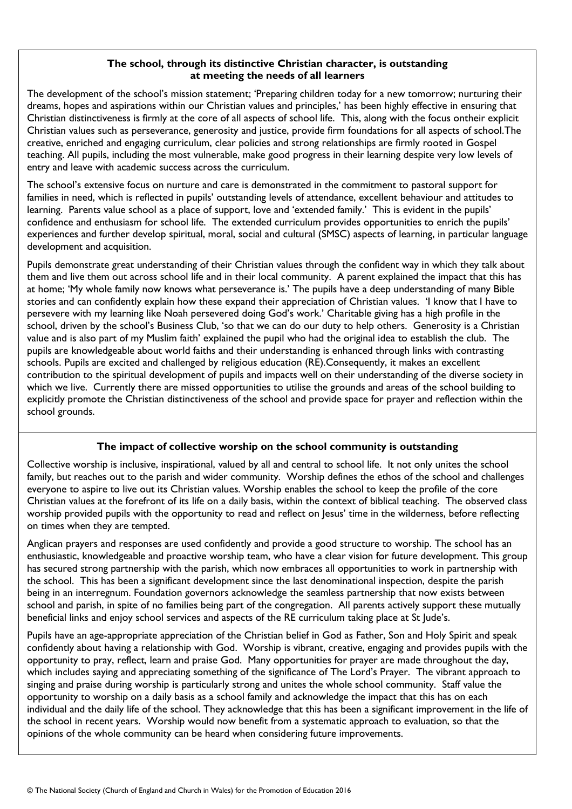#### **The school, through its distinctive Christian character, is outstanding at meeting the needs of all learners**

The development of the school's mission statement; 'Preparing children today for a new tomorrow; nurturing their dreams, hopes and aspirations within our Christian values and principles,' has been highly effective in ensuring that Christian distinctiveness is firmly at the core of all aspects of school life. This, along with the focus ontheir explicit Christian values such as perseverance, generosity and justice, provide firm foundations for all aspects of school.The creative, enriched and engaging curriculum, clear policies and strong relationships are firmly rooted in Gospel teaching. All pupils, including the most vulnerable, make good progress in their learning despite very low levels of entry and leave with academic success across the curriculum.

The school's extensive focus on nurture and care is demonstrated in the commitment to pastoral support for families in need, which is reflected in pupils' outstanding levels of attendance, excellent behaviour and attitudes to learning. Parents value school as a place of support, love and 'extended family.' This is evident in the pupils' confidence and enthusiasm for school life. The extended curriculum provides opportunities to enrich the pupils' experiences and further develop spiritual, moral, social and cultural (SMSC) aspects of learning, in particular language development and acquisition.

Pupils demonstrate great understanding of their Christian values through the confident way in which they talk about them and live them out across school life and in their local community. A parent explained the impact that this has at home; 'My whole family now knows what perseverance is.' The pupils have a deep understanding of many Bible stories and can confidently explain how these expand their appreciation of Christian values. 'I know that I have to persevere with my learning like Noah persevered doing God's work.' Charitable giving has a high profile in the school, driven by the school's Business Club, 'so that we can do our duty to help others. Generosity is a Christian value and is also part of my Muslim faith' explained the pupil who had the original idea to establish the club. The pupils are knowledgeable about world faiths and their understanding is enhanced through links with contrasting schools. Pupils are excited and challenged by religious education (RE).Consequently, it makes an excellent contribution to the spiritual development of pupils and impacts well on their understanding of the diverse society in which we live. Currently there are missed opportunities to utilise the grounds and areas of the school building to explicitly promote the Christian distinctiveness of the school and provide space for prayer and reflection within the school grounds.

# **The impact of collective worship on the school community is outstanding**

Collective worship is inclusive, inspirational, valued by all and central to school life. It not only unites the school family, but reaches out to the parish and wider community. Worship defines the ethos of the school and challenges everyone to aspire to live out its Christian values. Worship enables the school to keep the profile of the core Christian values at the forefront of its life on a daily basis, within the context of biblical teaching. The observed class worship provided pupils with the opportunity to read and reflect on Jesus' time in the wilderness, before reflecting on times when they are tempted.

Anglican prayers and responses are used confidently and provide a good structure to worship. The school has an enthusiastic, knowledgeable and proactive worship team, who have a clear vision for future development. This group has secured strong partnership with the parish, which now embraces all opportunities to work in partnership with the school. This has been a significant development since the last denominational inspection, despite the parish being in an interregnum. Foundation governors acknowledge the seamless partnership that now exists between school and parish, in spite of no families being part of the congregation. All parents actively support these mutually beneficial links and enjoy school services and aspects of the RE curriculum taking place at St Jude's.

Pupils have an age-appropriate appreciation of the Christian belief in God as Father, Son and Holy Spirit and speak confidently about having a relationship with God. Worship is vibrant, creative, engaging and provides pupils with the opportunity to pray, reflect, learn and praise God. Many opportunities for prayer are made throughout the day, which includes saying and appreciating something of the significance of The Lord's Prayer. The vibrant approach to singing and praise during worship is particularly strong and unites the whole school community. Staff value the opportunity to worship on a daily basis as a school family and acknowledge the impact that this has on each individual and the daily life of the school. They acknowledge that this has been a significant improvement in the life of the school in recent years. Worship would now benefit from a systematic approach to evaluation, so that the opinions of the whole community can be heard when considering future improvements.